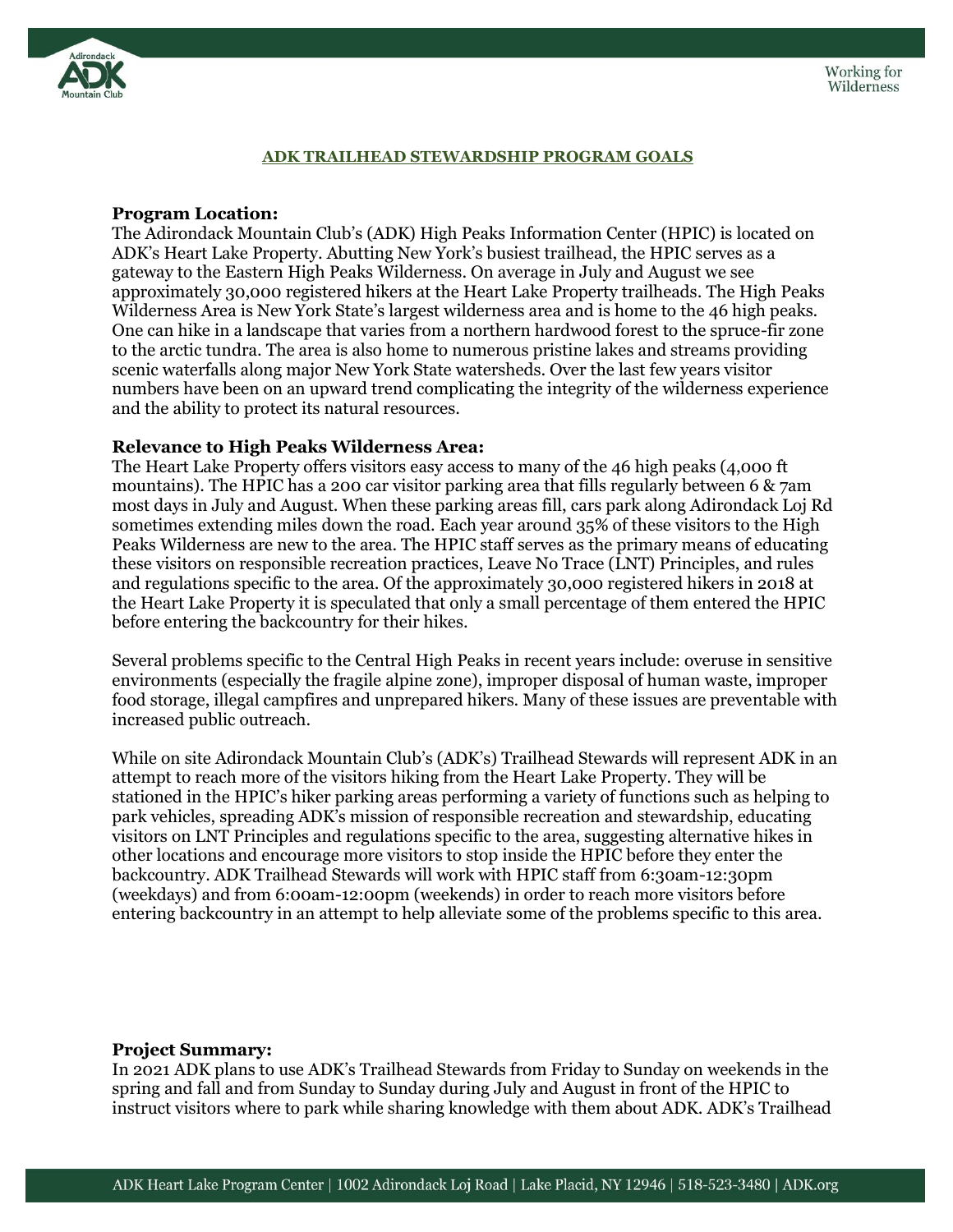

### **ADK TRAILHEAD STEWARDSHIP PROGRAM GOALS**

### **Program Location:**

The Adirondack Mountain Club's (ADK) High Peaks Information Center (HPIC) is located on ADK's Heart Lake Property. Abutting New York's busiest trailhead, the HPIC serves as a gateway to the Eastern High Peaks Wilderness. On average in July and August we see approximately 30,000 registered hikers at the Heart Lake Property trailheads. The High Peaks Wilderness Area is New York State's largest wilderness area and is home to the 46 high peaks. One can hike in a landscape that varies from a northern hardwood forest to the spruce-fir zone to the arctic tundra. The area is also home to numerous pristine lakes and streams providing scenic waterfalls along major New York State watersheds. Over the last few years visitor numbers have been on an upward trend complicating the integrity of the wilderness experience and the ability to protect its natural resources.

#### **Relevance to High Peaks Wilderness Area:**

The Heart Lake Property offers visitors easy access to many of the 46 high peaks (4,000 ft mountains). The HPIC has a 200 car visitor parking area that fills regularly between 6 & 7am most days in July and August. When these parking areas fill, cars park along Adirondack Loj Rd sometimes extending miles down the road. Each year around 35% of these visitors to the High Peaks Wilderness are new to the area. The HPIC staff serves as the primary means of educating these visitors on responsible recreation practices, Leave No Trace (LNT) Principles, and rules and regulations specific to the area. Of the approximately 30,000 registered hikers in 2018 at the Heart Lake Property it is speculated that only a small percentage of them entered the HPIC before entering the backcountry for their hikes.

Several problems specific to the Central High Peaks in recent years include: overuse in sensitive environments (especially the fragile alpine zone), improper disposal of human waste, improper food storage, illegal campfires and unprepared hikers. Many of these issues are preventable with increased public outreach.

While on site Adirondack Mountain Club's (ADK's) Trailhead Stewards will represent ADK in an attempt to reach more of the visitors hiking from the Heart Lake Property. They will be stationed in the HPIC's hiker parking areas performing a variety of functions such as helping to park vehicles, spreading ADK's mission of responsible recreation and stewardship, educating visitors on LNT Principles and regulations specific to the area, suggesting alternative hikes in other locations and encourage more visitors to stop inside the HPIC before they enter the backcountry. ADK Trailhead Stewards will work with HPIC staff from 6:30am-12:30pm (weekdays) and from 6:00am-12:00pm (weekends) in order to reach more visitors before entering backcountry in an attempt to help alleviate some of the problems specific to this area.

### **Project Summary:**

In 2021 ADK plans to use ADK's Trailhead Stewards from Friday to Sunday on weekends in the spring and fall and from Sunday to Sunday during July and August in front of the HPIC to instruct visitors where to park while sharing knowledge with them about ADK. ADK's Trailhead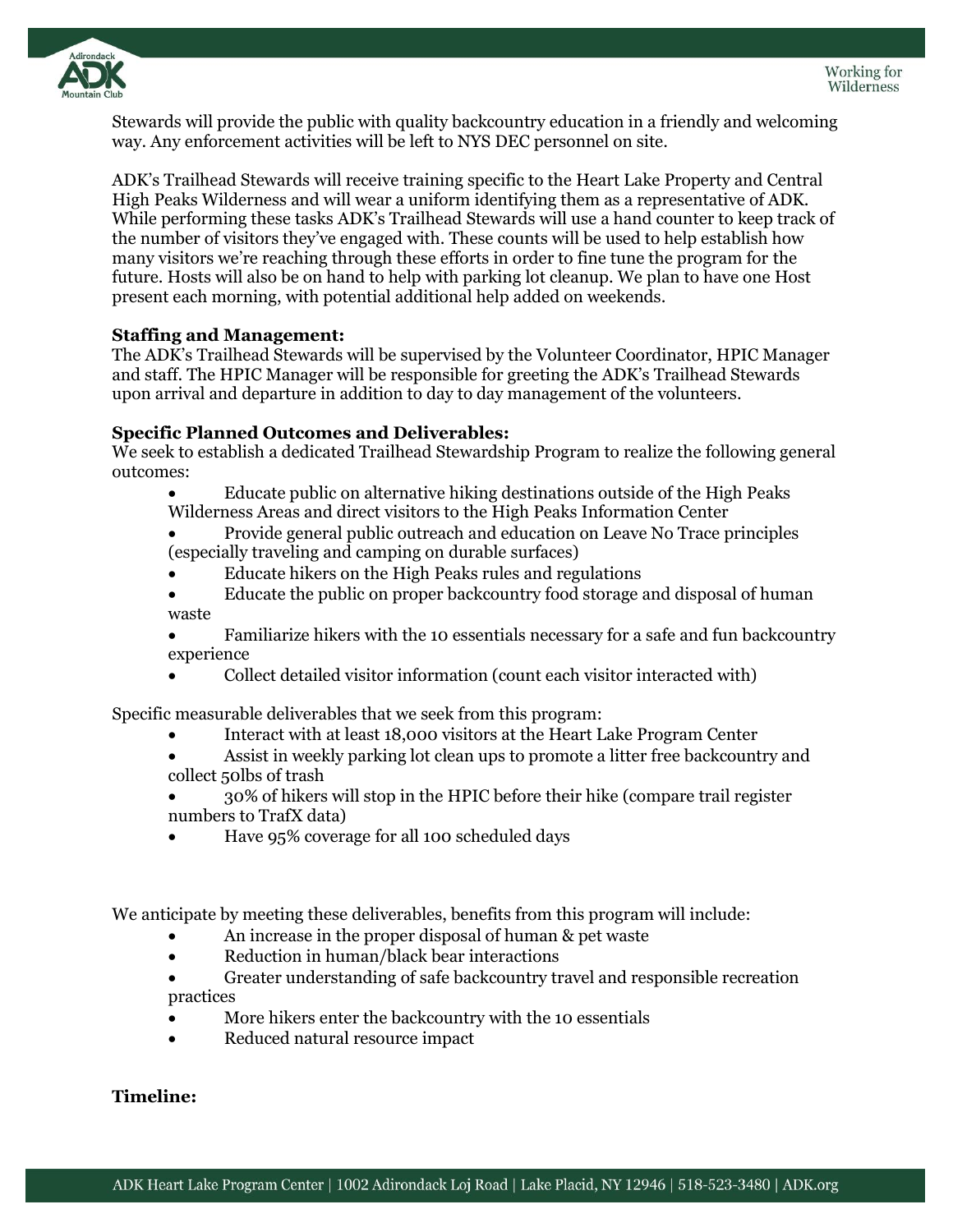

Stewards will provide the public with quality backcountry education in a friendly and welcoming way. Any enforcement activities will be left to NYS DEC personnel on site.

ADK's Trailhead Stewards will receive training specific to the Heart Lake Property and Central High Peaks Wilderness and will wear a uniform identifying them as a representative of ADK. While performing these tasks ADK's Trailhead Stewards will use a hand counter to keep track of the number of visitors they've engaged with. These counts will be used to help establish how many visitors we're reaching through these efforts in order to fine tune the program for the future. Hosts will also be on hand to help with parking lot cleanup. We plan to have one Host present each morning, with potential additional help added on weekends.

# **Staffing and Management:**

The ADK's Trailhead Stewards will be supervised by the Volunteer Coordinator, HPIC Manager and staff. The HPIC Manager will be responsible for greeting the ADK's Trailhead Stewards upon arrival and departure in addition to day to day management of the volunteers.

# **Specific Planned Outcomes and Deliverables:**

We seek to establish a dedicated Trailhead Stewardship Program to realize the following general outcomes:

- Educate public on alternative hiking destinations outside of the High Peaks Wilderness Areas and direct visitors to the High Peaks Information Center
- Provide general public outreach and education on Leave No Trace principles (especially traveling and camping on durable surfaces)
- Educate hikers on the High Peaks rules and regulations
- Educate the public on proper backcountry food storage and disposal of human waste
- Familiarize hikers with the 10 essentials necessary for a safe and fun backcountry experience
- Collect detailed visitor information (count each visitor interacted with)

Specific measurable deliverables that we seek from this program:

- Interact with at least 18,000 visitors at the Heart Lake Program Center
- Assist in weekly parking lot clean ups to promote a litter free backcountry and collect 50lbs of trash
- 30% of hikers will stop in the HPIC before their hike (compare trail register numbers to TrafX data)
- Have 95% coverage for all 100 scheduled days

We anticipate by meeting these deliverables, benefits from this program will include:

- An increase in the proper disposal of human & pet waste
- Reduction in human/black bear interactions
- Greater understanding of safe backcountry travel and responsible recreation practices
- More hikers enter the backcountry with the 10 essentials
- Reduced natural resource impact

# **Timeline:**